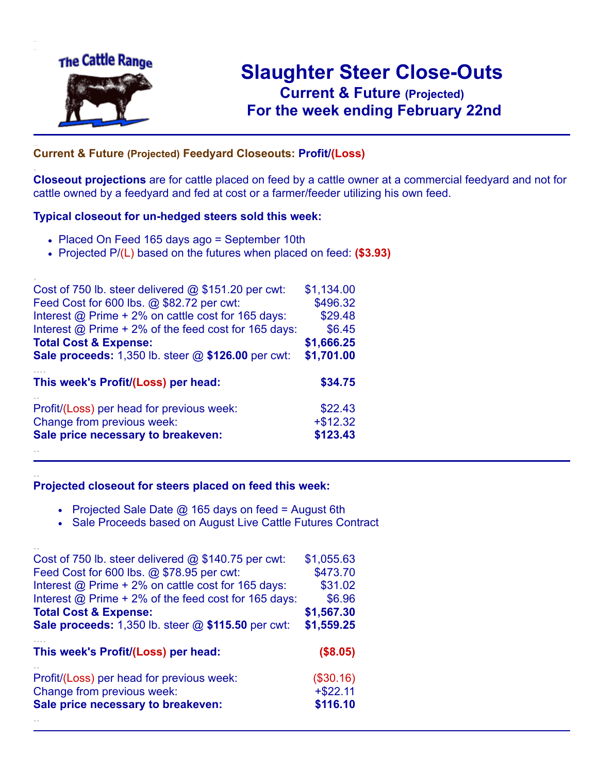

.

..

## **Slaughter Steer Close-Outs Current & Future (Projected)** .**For the week ending February 22nd**

## ... **Current & Future (Projected) Feedyard Closeouts: Profit/(Loss)**

**Closeout projections** are for cattle placed on feed by a cattle owner at a commercial feedyard and not for cattle owned by a feedyard and fed at cost or a farmer/feeder utilizing his own feed.

#### **Typical closeout for un-hedged steers sold this week:**

- Placed On Feed 165 days ago = September 10th
- Projected P/(L) based on the futures when placed on feed: **(\$3.93)**

| Cost of 750 lb. steer delivered @ \$151.20 per cwt:       | \$1,134.00 |
|-----------------------------------------------------------|------------|
| Feed Cost for 600 lbs. @ \$82.72 per cwt:                 | \$496.32   |
| Interest @ Prime + 2% on cattle cost for 165 days:        | \$29.48    |
| Interest @ Prime + 2% of the feed cost for 165 days:      | \$6.45     |
| <b>Total Cost &amp; Expense:</b>                          | \$1,666.25 |
| <b>Sale proceeds:</b> 1,350 lb. steer @ \$126.00 per cwt: | \$1,701.00 |
| This week's Profit/(Loss) per head:                       | \$34.75    |
| Profit/(Loss) per head for previous week:                 | \$22.43    |
| Change from previous week:                                | $+ $12.32$ |
| Sale price necessary to breakeven:                        | \$123.43   |
|                                                           |            |

#### **Projected closeout for steers placed on feed this week:**

- Projected Sale Date  $@$  165 days on feed = August 6th
- Sale Proceeds based on August Live Cattle Futures Contract

| Cost of 750 lb. steer delivered $@$ \$140.75 per cwt:     | \$1,055.63 |
|-----------------------------------------------------------|------------|
| Feed Cost for 600 lbs. @ \$78.95 per cwt:                 | \$473.70   |
| Interest @ Prime + 2% on cattle cost for 165 days:        | \$31.02    |
| Interest @ Prime + 2% of the feed cost for 165 days:      | \$6.96     |
| <b>Total Cost &amp; Expense:</b>                          | \$1,567.30 |
| <b>Sale proceeds:</b> 1,350 lb. steer @ \$115.50 per cwt: | \$1,559.25 |
|                                                           |            |
| This week's Profit/(Loss) per head:                       | (\$8.05)   |
| Profit/(Loss) per head for previous week:                 | (\$30.16)  |
| Change from previous week:                                | $+ $22.11$ |
| Sale price necessary to breakeven:                        | \$116.10   |